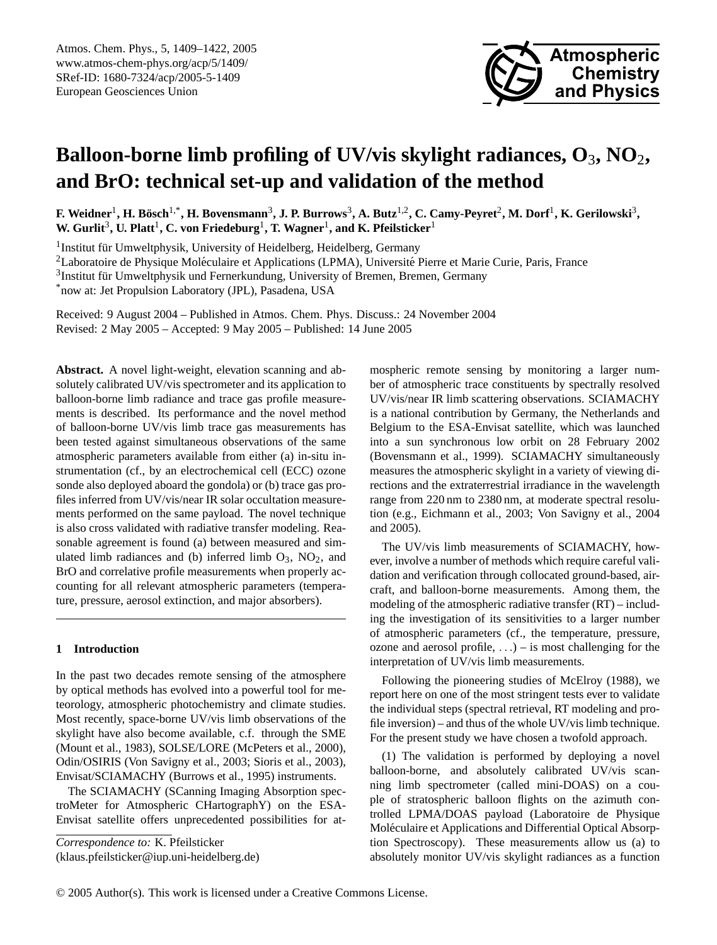

# **Balloon-borne limb profiling of UV/vis skylight radiances, O**3**, NO**2**, and BrO: technical set-up and validation of the method**

 $F$ . Weidner<sup>1</sup>, H. Bösch<sup>1,\*</sup>, H. Bovensmann<sup>3</sup>, J. P. Burrows<sup>3</sup>, A. Butz<sup>1,2</sup>, C. Camy-Peyret<sup>2</sup>, M. Dorf<sup>1</sup>, K. Gerilowski<sup>3</sup>,  $\textbf{W}\textbf{.} \textbf{Gurli}^3\textbf{, U}\textbf{.} \textbf{Platt}^1\textbf{, C}\textbf{.} \textbf{von Friedeburg}^1\textbf{, T}\textbf{.} \textbf{Wagner}^1\textbf{, and K}\textbf{.} \textbf{Pfeilsticker}^1\textbf{.}$ 

<sup>1</sup> Institut für Umweltphysik, University of Heidelberg, Heidelberg, Germany

<sup>2</sup>Laboratoire de Physique Moléculaire et Applications (LPMA), Université Pierre et Marie Curie, Paris, France

 $3$ Institut für Umweltphysik und Fernerkundung, University of Bremen, Bremen, Germany

\*now at: Jet Propulsion Laboratory (JPL), Pasadena, USA

Received: 9 August 2004 – Published in Atmos. Chem. Phys. Discuss.: 24 November 2004 Revised: 2 May 2005 – Accepted: 9 May 2005 – Published: 14 June 2005

**Abstract.** A novel light-weight, elevation scanning and absolutely calibrated UV/vis spectrometer and its application to balloon-borne limb radiance and trace gas profile measurements is described. Its performance and the novel method of balloon-borne UV/vis limb trace gas measurements has been tested against simultaneous observations of the same atmospheric parameters available from either (a) in-situ instrumentation (cf., by an electrochemical cell (ECC) ozone sonde also deployed aboard the gondola) or (b) trace gas profiles inferred from UV/vis/near IR solar occultation measurements performed on the same payload. The novel technique is also cross validated with radiative transfer modeling. Reasonable agreement is found (a) between measured and simulated limb radiances and (b) inferred limb  $O_3$ ,  $NO_2$ , and BrO and correlative profile measurements when properly accounting for all relevant atmospheric parameters (temperature, pressure, aerosol extinction, and major absorbers).

# **1 Introduction**

In the past two decades remote sensing of the atmosphere by optical methods has evolved into a powerful tool for meteorology, atmospheric photochemistry and climate studies. Most recently, space-borne UV/vis limb observations of the skylight have also become available, c.f. through the SME (Mount et al., 1983), SOLSE/LORE (McPeters et al., 2000), Odin/OSIRIS (Von Savigny et al., 2003; Sioris et al., 2003), Envisat/SCIAMACHY (Burrows et al., 1995) instruments.

The SCIAMACHY (SCanning Imaging Absorption spectroMeter for Atmospheric CHartographY) on the ESA-Envisat satellite offers unprecedented possibilities for at-

*Correspondence to:* K. Pfeilsticker

<span id="page-0-0"></span>(klaus.pfeilsticker@iup.uni-heidelberg.de)

mospheric remote sensing by monitoring a larger number of atmospheric trace constituents by spectrally resolved UV/vis/near IR limb scattering observations. SCIAMACHY is a national contribution by Germany, the Netherlands and Belgium to the ESA-Envisat satellite, which was launched into a sun synchronous low orbit on 28 February 2002 (Bovensmann et al., 1999). SCIAMACHY simultaneously measures the atmospheric skylight in a variety of viewing directions and the extraterrestrial irradiance in the wavelength range from 220 nm to 2380 nm, at moderate spectral resolution (e.g., Eichmann et al., 2003; Von Savigny et al., 2004 and 2005).

The UV/vis limb measurements of SCIAMACHY, however, involve a number of methods which require careful validation and verification through collocated ground-based, aircraft, and balloon-borne measurements. Among them, the modeling of the atmospheric radiative transfer (RT) – including the investigation of its sensitivities to a larger number of atmospheric parameters (cf., the temperature, pressure, ozone and aerosol profile,  $\ldots$ ) – is most challenging for the interpretation of UV/vis limb measurements.

Following the pioneering studies of McElroy (1988), we report here on one of the most stringent tests ever to validate the individual steps (spectral retrieval, RT modeling and profile inversion) – and thus of the whole UV/vis limb technique. For the present study we have chosen a twofold approach.

(1) The validation is performed by deploying a novel balloon-borne, and absolutely calibrated UV/vis scanning limb spectrometer (called mini-DOAS) on a couple of stratospheric balloon flights on the azimuth controlled LPMA/DOAS payload (Laboratoire de Physique Moléculaire et Applications and Differential Optical Absorption Spectroscopy). These measurements allow us (a) to absolutely monitor UV/vis skylight radiances as a function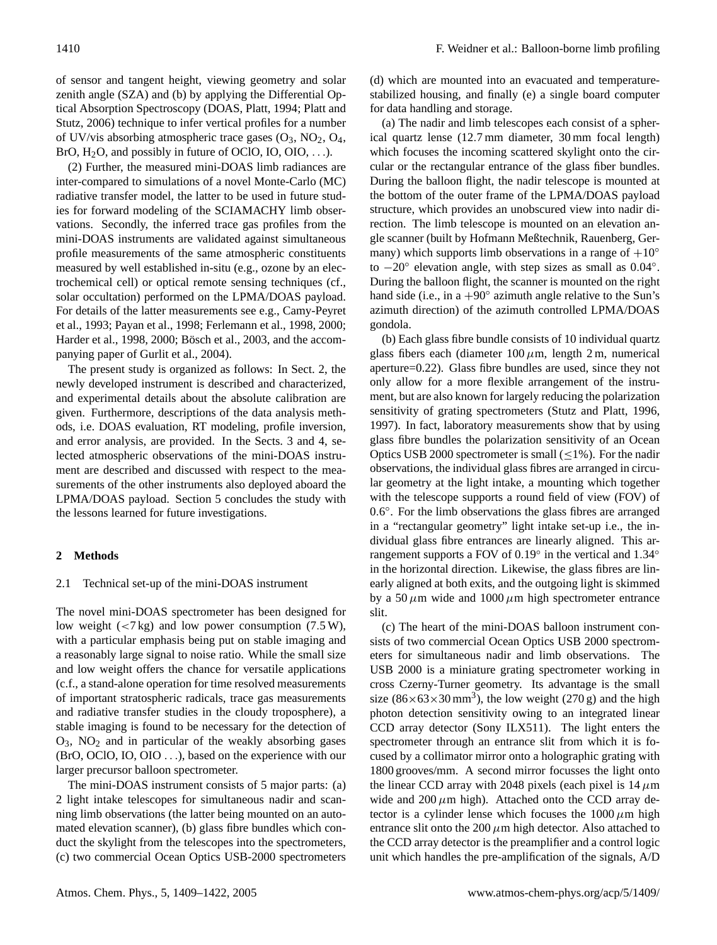of sensor and tangent height, viewing geometry and solar zenith angle (SZA) and (b) by applying the Differential Optical Absorption Spectroscopy (DOAS, Platt, 1994; Platt and Stutz, 2006) technique to infer vertical profiles for a number of UV/vis absorbing atmospheric trace gases  $(O_3, NO_2, O_4,$ BrO,  $H_2O$ , and possibly in future of OClO, IO, OIO, ...).

(2) Further, the measured mini-DOAS limb radiances are inter-compared to simulations of a novel Monte-Carlo (MC) radiative transfer model, the latter to be used in future studies for forward modeling of the SCIAMACHY limb observations. Secondly, the inferred trace gas profiles from the mini-DOAS instruments are validated against simultaneous profile measurements of the same atmospheric constituents measured by well established in-situ (e.g., ozone by an electrochemical cell) or optical remote sensing techniques (cf., solar occultation) performed on the LPMA/DOAS payload. For details of the latter measurements see e.g., Camy-Peyret et al., 1993; Payan et al., 1998; Ferlemann et al., 1998, 2000; Harder et al., 1998, 2000; Bösch et al., 2003, and the accompanying paper of Gurlit et al., 2004).

The present study is organized as follows: In Sect. 2, the newly developed instrument is described and characterized, and experimental details about the absolute calibration are given. Furthermore, descriptions of the data analysis methods, i.e. DOAS evaluation, RT modeling, profile inversion, and error analysis, are provided. In the Sects. 3 and 4, selected atmospheric observations of the mini-DOAS instrument are described and discussed with respect to the measurements of the other instruments also deployed aboard the LPMA/DOAS payload. Section 5 concludes the study with the lessons learned for future investigations.

## **2 Methods**

### 2.1 Technical set-up of the mini-DOAS instrument

The novel mini-DOAS spectrometer has been designed for low weight  $\left(\langle 7 \text{ kg} \rangle \right)$  and low power consumption  $(7.5 \text{ W})$ , with a particular emphasis being put on stable imaging and a reasonably large signal to noise ratio. While the small size and low weight offers the chance for versatile applications (c.f., a stand-alone operation for time resolved measurements of important stratospheric radicals, trace gas measurements and radiative transfer studies in the cloudy troposphere), a stable imaging is found to be necessary for the detection of  $O_3$ ,  $NO_2$  and in particular of the weakly absorbing gases (BrO, OClO, IO, OIO . . .), based on the experience with our larger precursor balloon spectrometer.

The mini-DOAS instrument consists of 5 major parts: (a) 2 light intake telescopes for simultaneous nadir and scanning limb observations (the latter being mounted on an automated elevation scanner), (b) glass fibre bundles which conduct the skylight from the telescopes into the spectrometers, (c) two commercial Ocean Optics USB-2000 spectrometers (d) which are mounted into an evacuated and temperaturestabilized housing, and finally (e) a single board computer for data handling and storage.

(a) The nadir and limb telescopes each consist of a spherical quartz lense (12.7 mm diameter, 30 mm focal length) which focuses the incoming scattered skylight onto the circular or the rectangular entrance of the glass fiber bundles. During the balloon flight, the nadir telescope is mounted at the bottom of the outer frame of the LPMA/DOAS payload structure, which provides an unobscured view into nadir direction. The limb telescope is mounted on an elevation angle scanner (built by Hofmann Meßtechnik, Rauenberg, Germany) which supports limb observations in a range of  $+10°$ to -20° elevation angle, with step sizes as small as 0.04°. During the balloon flight, the scanner is mounted on the right hand side (i.e., in a  $+90^\circ$  azimuth angle relative to the Sun's azimuth direction) of the azimuth controlled LPMA/DOAS gondola.

(b) Each glass fibre bundle consists of 10 individual quartz glass fibers each (diameter  $100 \mu m$ , length 2 m, numerical aperture=0.22). Glass fibre bundles are used, since they not only allow for a more flexible arrangement of the instrument, but are also known for largely reducing the polarization sensitivity of grating spectrometers (Stutz and Platt, 1996, 1997). In fact, laboratory measurements show that by using glass fibre bundles the polarization sensitivity of an Ocean Optics USB 2000 spectrometer is small  $(\leq 1\%)$ . For the nadir observations, the individual glass fibres are arranged in circular geometry at the light intake, a mounting which together with the telescope supports a round field of view (FOV) of 0.6 ◦ . For the limb observations the glass fibres are arranged in a "rectangular geometry" light intake set-up i.e., the individual glass fibre entrances are linearly aligned. This arrangement supports a FOV of 0.19° in the vertical and 1.34° in the horizontal direction. Likewise, the glass fibres are linearly aligned at both exits, and the outgoing light is skimmed by a 50  $\mu$ m wide and 1000  $\mu$ m high spectrometer entrance slit.

(c) The heart of the mini-DOAS balloon instrument consists of two commercial Ocean Optics USB 2000 spectrometers for simultaneous nadir and limb observations. The USB 2000 is a miniature grating spectrometer working in cross Czerny-Turner geometry. Its advantage is the small size  $(86 \times 63 \times 30 \text{ mm}^3)$ , the low weight  $(270 \text{ g})$  and the high photon detection sensitivity owing to an integrated linear CCD array detector (Sony ILX511). The light enters the spectrometer through an entrance slit from which it is focused by a collimator mirror onto a holographic grating with 1800 grooves/mm. A second mirror focusses the light onto the linear CCD array with 2048 pixels (each pixel is  $14 \mu m$ ) wide and  $200 \mu m$  high). Attached onto the CCD array detector is a cylinder lense which focuses the  $1000 \mu m$  high entrance slit onto the 200  $\mu$ m high detector. Also attached to the CCD array detector is the preamplifier and a control logic unit which handles the pre-amplification of the signals, A/D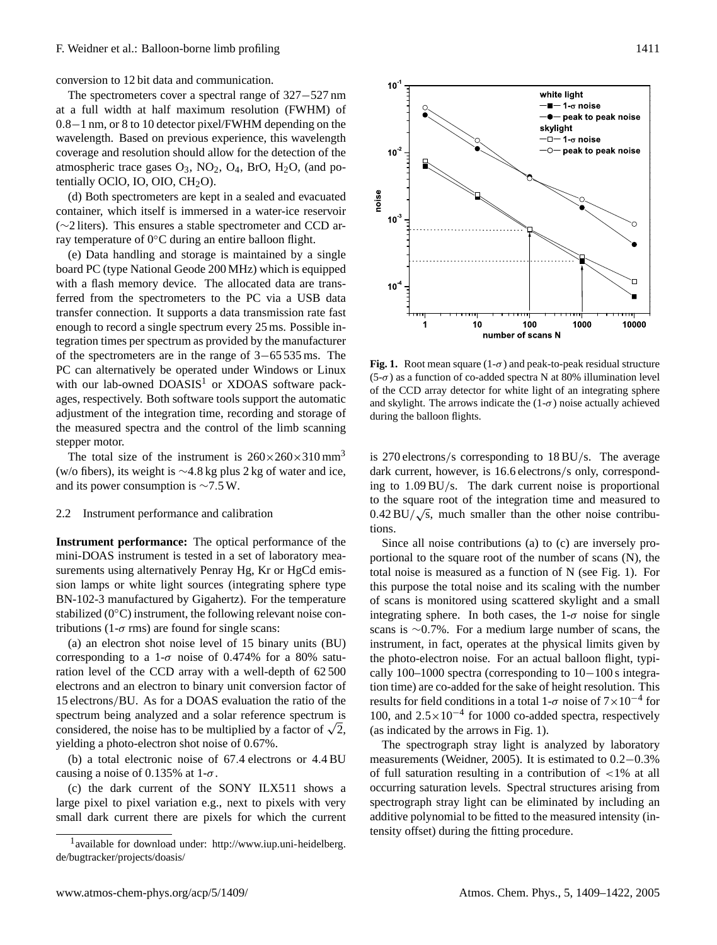conversion to 12 bit data and communication.

The spectrometers cover a spectral range of 327−527 nm at a full width at half maximum resolution (FWHM) of 0.8−1 nm, or 8 to 10 detector pixel/FWHM depending on the wavelength. Based on previous experience, this wavelength coverage and resolution should allow for the detection of the atmospheric trace gases  $O_3$ ,  $NO_2$ ,  $O_4$ ,  $BrO$ ,  $H_2O$ , (and potentially OClO, IO, OIO,  $CH<sub>2</sub>O$ ).

(d) Both spectrometers are kept in a sealed and evacuated container, which itself is immersed in a water-ice reservoir (∼2 liters). This ensures a stable spectrometer and CCD array temperature of 0◦C during an entire balloon flight.

(e) Data handling and storage is maintained by a single board PC (type National Geode 200 MHz) which is equipped with a flash memory device. The allocated data are transferred from the spectrometers to the PC via a USB data transfer connection. It supports a data transmission rate fast enough to record a single spectrum every 25 ms. Possible integration times per spectrum as provided by the manufacturer of the spectrometers are in the range of 3−65 535 ms. The PC can alternatively be operated under Windows or Linux with our lab-owned  $DOASIS<sup>1</sup>$  $DOASIS<sup>1</sup>$  $DOASIS<sup>1</sup>$  or XDOAS software packages, respectively. Both software tools support the automatic adjustment of the integration time, recording and storage of the measured spectra and the control of the limb scanning stepper motor.

The total size of the instrument is  $260 \times 260 \times 310$  mm<sup>3</sup> (w/o fibers), its weight is ∼4.8 kg plus 2 kg of water and ice, and its power consumption is ∼7.5 W.

## 2.2 Instrument performance and calibration

**Instrument performance:** The optical performance of the mini-DOAS instrument is tested in a set of laboratory measurements using alternatively Penray Hg, Kr or HgCd emission lamps or white light sources (integrating sphere type BN-102-3 manufactured by Gigahertz). For the temperature stabilized  $(0°C)$  instrument, the following relevant noise contributions (1- $\sigma$  rms) are found for single scans:

(a) an electron shot noise level of 15 binary units (BU) corresponding to a 1- $\sigma$  noise of 0.474% for a 80% saturation level of the CCD array with a well-depth of 62 500 electrons and an electron to binary unit conversion factor of 15 electrons/BU. As for a DOAS evaluation the ratio of the spectrum being analyzed and a solar reference spectrum is spectrum being analyzed and a solar reference spectrum is considered, the noise has to be multiplied by a factor of  $\sqrt{2}$ , yielding a photo-electron shot noise of 0.67%.

(b) a total electronic noise of 67.4 electrons or 4.4 BU causing a noise of 0.135% at  $1-\sigma$ .

(c) the dark current of the SONY ILX511 shows a large pixel to pixel variation e.g., next to pixels with very small dark current there are pixels for which the current



**Fig. 1.** Root mean square  $(1-\sigma)$  and peak-to-peak residual structure (5-σ) as a function of co-added spectra N at 80% illumination level of the CCD array detector for white light of an integrating sphere and skylight. The arrows indicate the  $(1-\sigma)$  noise actually achieved during the balloon flights.

is 270 electrons/s corresponding to 18 BU/s. The average dark current, however, is 16.6 electrons/s only, corresponding to 1.09 BU/s. The dark current noise is proportional to the square root of the integration time and measured to  $0.42 \text{ BU}/\sqrt{s}$ , much smaller than the other noise contributions.

Since all noise contributions (a) to (c) are inversely proportional to the square root of the number of scans (N), the total noise is measured as a function of N (see Fig. 1). For this purpose the total noise and its scaling with the number of scans is monitored using scattered skylight and a small integrating sphere. In both cases, the  $1-\sigma$  noise for single scans is ∼0.7%. For a medium large number of scans, the instrument, in fact, operates at the physical limits given by the photo-electron noise. For an actual balloon flight, typically 100–1000 spectra (corresponding to 10−100 s integration time) are co-added for the sake of height resolution. This results for field conditions in a total 1- $\sigma$  noise of  $7 \times 10^{-4}$  for 100, and 2.5×10−<sup>4</sup> for 1000 co-added spectra, respectively (as indicated by the arrows in Fig. 1).

The spectrograph stray light is analyzed by laboratory measurements (Weidner, 2005). It is estimated to 0.2−0.3% of full saturation resulting in a contribution of <1% at all occurring saturation levels. Spectral structures arising from spectrograph stray light can be eliminated by including an additive polynomial to be fitted to the measured intensity (intensity offset) during the fitting procedure.

<span id="page-2-0"></span><sup>&</sup>lt;sup>1</sup> available for download under: [http://www.iup.uni-heidelberg.](http://www.iup.uni-heidelberg.de/bugtracker/projects/doasis/) [de/bugtracker/projects/doasis/](http://www.iup.uni-heidelberg.de/bugtracker/projects/doasis/)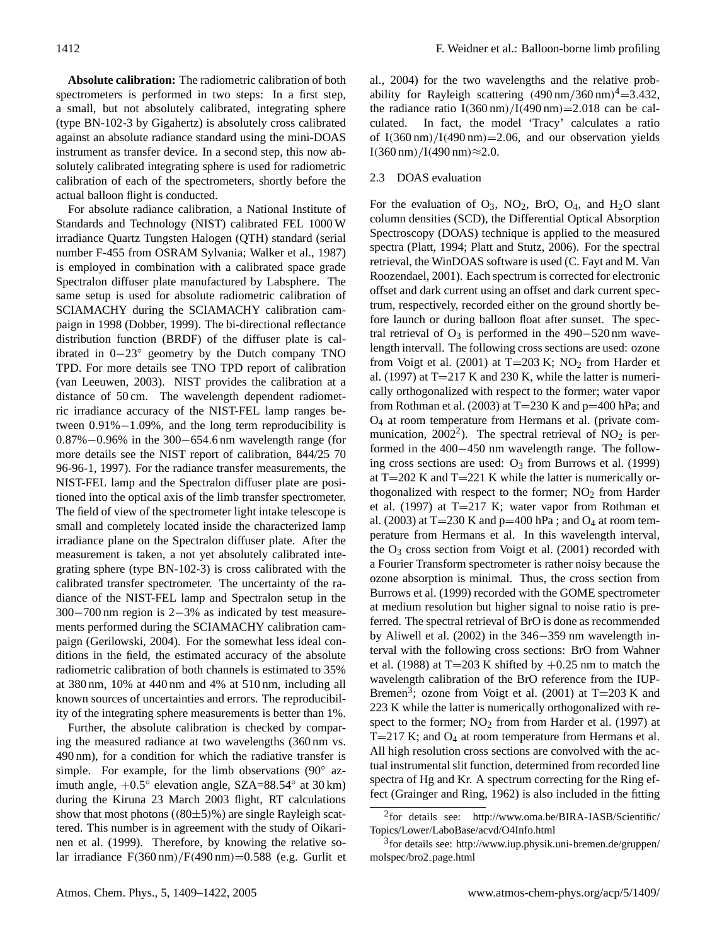**Absolute calibration:** The radiometric calibration of both spectrometers is performed in two steps: In a first step, a small, but not absolutely calibrated, integrating sphere (type BN-102-3 by Gigahertz) is absolutely cross calibrated against an absolute radiance standard using the mini-DOAS instrument as transfer device. In a second step, this now absolutely calibrated integrating sphere is used for radiometric calibration of each of the spectrometers, shortly before the actual balloon flight is conducted.

For absolute radiance calibration, a National Institute of Standards and Technology (NIST) calibrated FEL 1000 W irradiance Quartz Tungsten Halogen (QTH) standard (serial number F-455 from OSRAM Sylvania; Walker et al., 1987) is employed in combination with a calibrated space grade Spectralon diffuser plate manufactured by Labsphere. The same setup is used for absolute radiometric calibration of SCIAMACHY during the SCIAMACHY calibration campaign in 1998 (Dobber, 1999). The bi-directional reflectance distribution function (BRDF) of the diffuser plate is calibrated in 0−23◦ geometry by the Dutch company TNO TPD. For more details see TNO TPD report of calibration (van Leeuwen, 2003). NIST provides the calibration at a distance of 50 cm. The wavelength dependent radiometric irradiance accuracy of the NIST-FEL lamp ranges between 0.91%−1.09%, and the long term reproducibility is 0.87%−0.96% in the 300−654.6 nm wavelength range (for more details see the NIST report of calibration, 844/25 70 96-96-1, 1997). For the radiance transfer measurements, the NIST-FEL lamp and the Spectralon diffuser plate are positioned into the optical axis of the limb transfer spectrometer. The field of view of the spectrometer light intake telescope is small and completely located inside the characterized lamp irradiance plane on the Spectralon diffuser plate. After the measurement is taken, a not yet absolutely calibrated integrating sphere (type BN-102-3) is cross calibrated with the calibrated transfer spectrometer. The uncertainty of the radiance of the NIST-FEL lamp and Spectralon setup in the 300−700 nm region is 2−3% as indicated by test measurements performed during the SCIAMACHY calibration campaign (Gerilowski, 2004). For the somewhat less ideal conditions in the field, the estimated accuracy of the absolute radiometric calibration of both channels is estimated to 35% at 380 nm, 10% at 440 nm and 4% at 510 nm, including all known sources of uncertainties and errors. The reproducibility of the integrating sphere measurements is better than 1%.

Further, the absolute calibration is checked by comparing the measured radiance at two wavelengths (360 nm vs. 490 nm), for a condition for which the radiative transfer is simple. For example, for the limb observations (90° azimuth angle,  $+0.5^{\circ}$  elevation angle, SZA=88.54° at 30 km) during the Kiruna 23 March 2003 flight, RT calculations show that most photons  $((80±5)\%)$  are single Rayleigh scattered. This number is in agreement with the study of Oikarinen et al. (1999). Therefore, by knowing the relative solar irradiance  $F(360 \text{ nm})/F(490 \text{ nm})=0.588$  (e.g. Gurlit et al., 2004) for the two wavelengths and the relative probability for Rayleigh scattering  $(490 \text{ nm}/360 \text{ nm})^4 = 3.432$ , the radiance ratio  $I(360 \text{ nm})/I(490 \text{ nm}) = 2.018$  can be calculated. In fact, the model 'Tracy' calculates a ratio of  $I(360 \text{ nm})/I(490 \text{ nm}) = 2.06$ , and our observation yields I(360 nm)/I(490 nm) $\approx$ 2.0.

# 2.3 DOAS evaluation

For the evaluation of  $O_3$ ,  $NO_2$ ,  $BrO$ ,  $O_4$ , and  $H_2O$  slant column densities (SCD), the Differential Optical Absorption Spectroscopy (DOAS) technique is applied to the measured spectra (Platt, 1994; Platt and Stutz, 2006). For the spectral retrieval, the WinDOAS software is used (C. Fayt and M. Van Roozendael, 2001). Each spectrum is corrected for electronic offset and dark current using an offset and dark current spectrum, respectively, recorded either on the ground shortly before launch or during balloon float after sunset. The spectral retrieval of  $O_3$  is performed in the 490−520 nm wavelength intervall. The following cross sections are used: ozone from Voigt et al. (2001) at  $T=203$  K; NO<sub>2</sub> from Harder et al. (1997) at  $T=217$  K and 230 K, while the latter is numerically orthogonalized with respect to the former; water vapor from Rothman et al. (2003) at  $T=230$  K and  $p=400$  hPa; and O<sup>4</sup> at room temperature from Hermans et al. (private com-munication, [2](#page-3-0)002<sup>2</sup>). The spectral retrieval of  $NO<sub>2</sub>$  is performed in the 400−450 nm wavelength range. The following cross sections are used:  $O<sub>3</sub>$  from Burrows et al. (1999) at  $T=202$  K and  $T=221$  K while the latter is numerically orthogonalized with respect to the former;  $NO<sub>2</sub>$  from Harder et al. (1997) at  $T=217$  K; water vapor from Rothman et al. (2003) at  $T=230$  K and  $p=400$  hPa ; and  $O_4$  at room temperature from Hermans et al. In this wavelength interval, the  $O_3$  cross section from Voigt et al. (2001) recorded with a Fourier Transform spectrometer is rather noisy because the ozone absorption is minimal. Thus, the cross section from Burrows et al. (1999) recorded with the GOME spectrometer at medium resolution but higher signal to noise ratio is preferred. The spectral retrieval of BrO is done as recommended by Aliwell et al. (2002) in the 346−359 nm wavelength interval with the following cross sections: BrO from Wahner et al. (1988) at T=203 K shifted by  $+0.25$  nm to match the wavelength calibration of the BrO reference from the IUP-Bremen<sup>[3](#page-3-1)</sup>; ozone from Voigt et al. (2001) at T=203 K and 223 K while the latter is numerically orthogonalized with respect to the former;  $NO<sub>2</sub>$  from from Harder et al. (1997) at  $T=217$  K; and  $O_4$  at room temperature from Hermans et al. All high resolution cross sections are convolved with the actual instrumental slit function, determined from recorded line spectra of Hg and Kr. A spectrum correcting for the Ring effect (Grainger and Ring, 1962) is also included in the fitting

<span id="page-3-0"></span><sup>&</sup>lt;sup>2</sup>for details see: [http://www.oma.be/BIRA-IASB/Scientific/](http://www.oma.be/BIRA-IASB/Scientific/Topics/Lower/LaboBase/acvd/O4Info.html) [Topics/Lower/LaboBase/acvd/O4Info.html](http://www.oma.be/BIRA-IASB/Scientific/Topics/Lower/LaboBase/acvd/O4Info.html)

<span id="page-3-1"></span><sup>3</sup> for details see: [http://www.iup.physik.uni-bremen.de/gruppen/](http://www.iup.physik.uni-bremen.de/gruppen/molspec/bro2_page.html) [molspec/bro2](http://www.iup.physik.uni-bremen.de/gruppen/molspec/bro2_page.html) page.html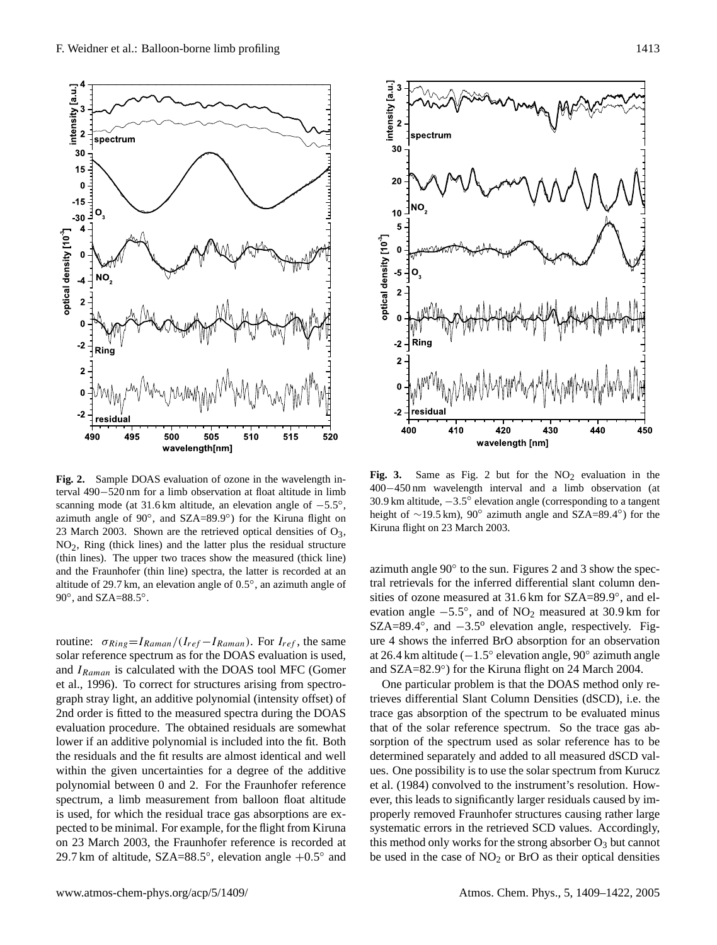

**Fig. 2.** Sample DOAS evaluation of ozone in the wavelength interval 490−520 nm for a limb observation at float altitude in limb scanning mode (at 31.6 km altitude, an elevation angle of  $-5.5^{\circ}$ , azimuth angle of 90°, and SZA=89.9°) for the Kiruna flight on 23 March 2003. Shown are the retrieved optical densities of  $O_3$ ,  $NO<sub>2</sub>$ , Ring (thick lines) and the latter plus the residual structure (thin lines). The upper two traces show the measured (thick line) and the Fraunhofer (thin line) spectra, the latter is recorded at an altitude of 29.7 km, an elevation angle of 0.5 ◦ , an azimuth angle of 90°, and SZA=88.5°.

routine:  $\sigma_{Ring} = I_{Raman}/(I_{ref} - I_{Raman})$ . For  $I_{ref}$ , the same solar reference spectrum as for the DOAS evaluation is used, and  $I_{Raman}$  is calculated with the DOAS tool MFC (Gomer et al., 1996). To correct for structures arising from spectrograph stray light, an additive polynomial (intensity offset) of 2nd order is fitted to the measured spectra during the DOAS evaluation procedure. The obtained residuals are somewhat lower if an additive polynomial is included into the fit. Both the residuals and the fit results are almost identical and well within the given uncertainties for a degree of the additive polynomial between 0 and 2. For the Fraunhofer reference spectrum, a limb measurement from balloon float altitude is used, for which the residual trace gas absorptions are expected to be minimal. For example, for the flight from Kiruna on 23 March 2003, the Fraunhofer reference is recorded at 29.7 km of altitude,  $SZA = 88.5^{\circ}$ , elevation angle  $+0.5^{\circ}$  and



Fig. 3. Same as Fig. 2 but for the  $NO<sub>2</sub>$  evaluation in the 400−450 nm wavelength interval and a limb observation (at 30.9 km altitude,  $-3.5^\circ$  elevation angle (corresponding to a tangent height of  $\sim$ 19.5 km), 90° azimuth angle and SZA=89.4°) for the Kiruna flight on 23 March 2003.

azimuth angle 90◦ to the sun. Figures 2 and 3 show the spectral retrievals for the inferred differential slant column densities of ozone measured at 31.6 km for SZA=89.9°, and elevation angle  $-5.5^{\circ}$ , and of NO<sub>2</sub> measured at 30.9 km for  $SZA=89.4^{\circ}$ , and  $-3.5^{\circ}$  elevation angle, respectively. Figure 4 shows the inferred BrO absorption for an observation at 26.4 km altitude (−1.5 ◦ elevation angle, 90◦ azimuth angle and SZA=82.9°) for the Kiruna flight on 24 March 2004.

One particular problem is that the DOAS method only retrieves differential Slant Column Densities (dSCD), i.e. the trace gas absorption of the spectrum to be evaluated minus that of the solar reference spectrum. So the trace gas absorption of the spectrum used as solar reference has to be determined separately and added to all measured dSCD values. One possibility is to use the solar spectrum from Kurucz et al. (1984) convolved to the instrument's resolution. However, this leads to significantly larger residuals caused by improperly removed Fraunhofer structures causing rather large systematic errors in the retrieved SCD values. Accordingly, this method only works for the strong absorber  $O_3$  but cannot be used in the case of  $NO<sub>2</sub>$  or BrO as their optical densities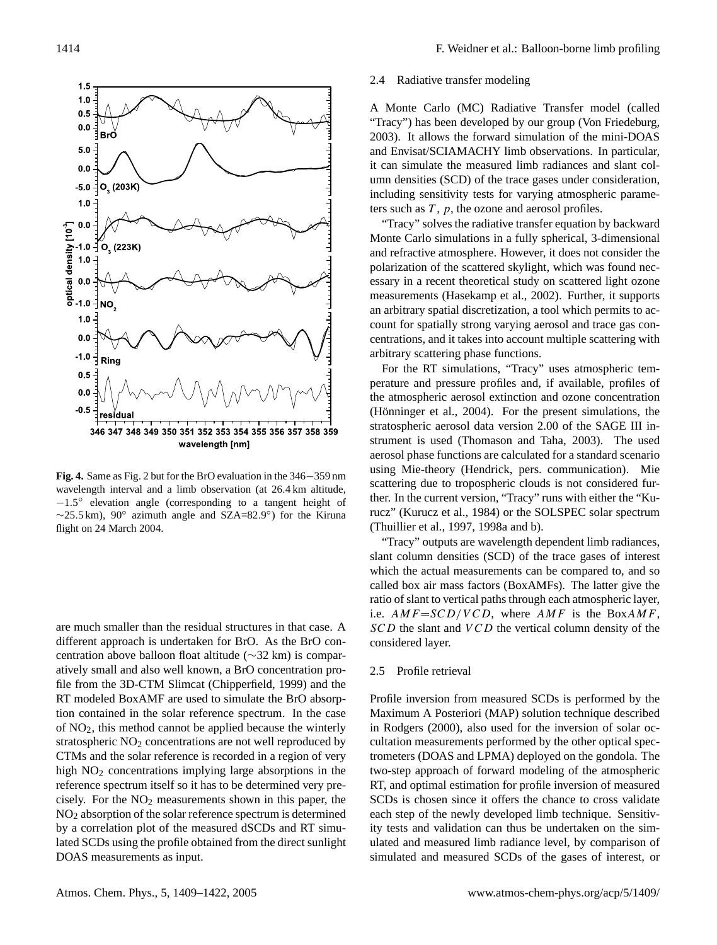

**Fig. 4.** Same as Fig. 2 but for the BrO evaluation in the 346−359 nm wavelength interval and a limb observation (at 26.4 km altitude, −1.5 ◦ elevation angle (corresponding to a tangent height of  $\sim$ 25.5 km), 90° azimuth angle and SZA=82.9°) for the Kiruna flight on 24 March 2004.

are much smaller than the residual structures in that case. A different approach is undertaken for BrO. As the BrO concentration above balloon float altitude (∼32 km) is comparatively small and also well known, a BrO concentration profile from the 3D-CTM Slimcat (Chipperfield, 1999) and the RT modeled BoxAMF are used to simulate the BrO absorption contained in the solar reference spectrum. In the case of NO2, this method cannot be applied because the winterly stratospheric  $NO<sub>2</sub>$  concentrations are not well reproduced by CTMs and the solar reference is recorded in a region of very high  $NO<sub>2</sub>$  concentrations implying large absorptions in the reference spectrum itself so it has to be determined very precisely. For the  $NO<sub>2</sub>$  measurements shown in this paper, the NO<sup>2</sup> absorption of the solar reference spectrum is determined by a correlation plot of the measured dSCDs and RT simulated SCDs using the profile obtained from the direct sunlight DOAS measurements as input.

## 2.4 Radiative transfer modeling

A Monte Carlo (MC) Radiative Transfer model (called "Tracy") has been developed by our group (Von Friedeburg, 2003). It allows the forward simulation of the mini-DOAS and Envisat/SCIAMACHY limb observations. In particular, it can simulate the measured limb radiances and slant column densities (SCD) of the trace gases under consideration, including sensitivity tests for varying atmospheric parameters such as  $T$ ,  $p$ , the ozone and aerosol profiles.

"Tracy" solves the radiative transfer equation by backward Monte Carlo simulations in a fully spherical, 3-dimensional and refractive atmosphere. However, it does not consider the polarization of the scattered skylight, which was found necessary in a recent theoretical study on scattered light ozone measurements (Hasekamp et al., 2002). Further, it supports an arbitrary spatial discretization, a tool which permits to account for spatially strong varying aerosol and trace gas concentrations, and it takes into account multiple scattering with arbitrary scattering phase functions.

For the RT simulations, "Tracy" uses atmospheric temperature and pressure profiles and, if available, profiles of the atmospheric aerosol extinction and ozone concentration (Hönninger et al.,  $2004$ ). For the present simulations, the stratospheric aerosol data version 2.00 of the SAGE III instrument is used (Thomason and Taha, 2003). The used aerosol phase functions are calculated for a standard scenario using Mie-theory (Hendrick, pers. communication). Mie scattering due to tropospheric clouds is not considered further. In the current version, "Tracy" runs with either the "Kurucz" (Kurucz et al., 1984) or the SOLSPEC solar spectrum (Thuillier et al., 1997, 1998a and b).

"Tracy" outputs are wavelength dependent limb radiances, slant column densities (SCD) of the trace gases of interest which the actual measurements can be compared to, and so called box air mass factors (BoxAMFs). The latter give the ratio of slant to vertical paths through each atmospheric layer, i.e.  $AMF = SCD/VCD$ , where  $AMF$  is the BoxAMF,  $SCD$  the slant and  $VCD$  the vertical column density of the considered layer.

# 2.5 Profile retrieval

Profile inversion from measured SCDs is performed by the Maximum A Posteriori (MAP) solution technique described in Rodgers (2000), also used for the inversion of solar occultation measurements performed by the other optical spectrometers (DOAS and LPMA) deployed on the gondola. The two-step approach of forward modeling of the atmospheric RT, and optimal estimation for profile inversion of measured SCDs is chosen since it offers the chance to cross validate each step of the newly developed limb technique. Sensitivity tests and validation can thus be undertaken on the simulated and measured limb radiance level, by comparison of simulated and measured SCDs of the gases of interest, or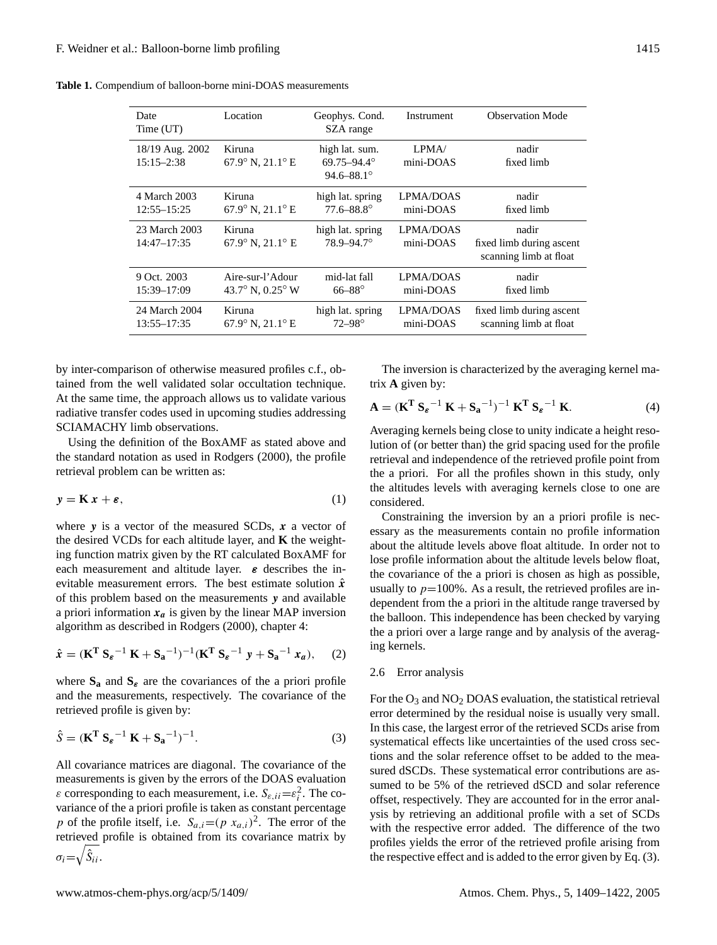| Date<br>Time (UT)                 | Location                                     | Geophys. Cond.<br>SZA range                                       | Instrument                    | <b>Observation Mode</b>                                     |
|-----------------------------------|----------------------------------------------|-------------------------------------------------------------------|-------------------------------|-------------------------------------------------------------|
| 18/19 Aug. 2002<br>$15:15 - 2:38$ | Kiruna<br>$67.9^\circ$ N, $21.1^\circ$ E     | high lat. sum.<br>$69.75 - 94.4^{\circ}$<br>$94.6 - 88.1^{\circ}$ | L <sub>PMA</sub><br>mini-DOAS | nadir<br>fixed limb                                         |
| 4 March 2003<br>12:55-15:25       | Kiruna<br>$67.9^\circ$ N, $21.1^\circ$ E     | high lat. spring<br>$77.6 - 88.8^{\circ}$                         | LPMA/DOAS<br>mini-DOAS        | nadir<br>fixed limb                                         |
| 23 March 2003<br>$14:47 - 17:35$  | Kiruna<br>$67.9^{\circ}$ N, $21.1^{\circ}$ E | high lat. spring<br>$78.9 - 94.7^\circ$                           | <b>LPMA/DOAS</b><br>mini-DOAS | nadir<br>fixed limb during ascent<br>scanning limb at float |
| 9 Oct. 2003<br>15:39-17:09        | Aire-sur-l'Adour<br>43.7° N, $0.25$ ° W      | mid-lat fall<br>$66 - 88^{\circ}$                                 | LPMA/DOAS<br>mini-DOAS        | nadir<br>fixed limb                                         |
| 24 March 2004<br>13:55–17:35      | Kiruna<br>$67.9^\circ$ N, $21.1^\circ$ E     | high lat. spring<br>$72 - 98^{\circ}$                             | <b>LPMA/DOAS</b><br>mini-DOAS | fixed limb during ascent<br>scanning limb at float          |

**Table 1.** Compendium of balloon-borne mini-DOAS measurements

by inter-comparison of otherwise measured profiles c.f., obtained from the well validated solar occultation technique. At the same time, the approach allows us to validate various radiative transfer codes used in upcoming studies addressing SCIAMACHY limb observations.

Using the definition of the BoxAMF as stated above and the standard notation as used in Rodgers (2000), the profile retrieval problem can be written as:

$$
y = \mathbf{K} x + \boldsymbol{\varepsilon},\tag{1}
$$

where  $y$  is a vector of the measured SCDs, x a vector of the desired VCDs for each altitude layer, and **K** the weighting function matrix given by the RT calculated BoxAMF for each measurement and altitude layer.  $\varepsilon$  describes the inevitable measurement errors. The best estimate solution  $\hat{x}$ of this problem based on the measurements y and available a priori information  $x_a$  is given by the linear MAP inversion algorithm as described in Rodgers (2000), chapter 4:

$$
\hat{x} = (\mathbf{K}^{\mathrm{T}} \mathbf{S}_{\varepsilon}^{-1} \mathbf{K} + \mathbf{S}_{\mathbf{a}}^{-1})^{-1} (\mathbf{K}^{\mathrm{T}} \mathbf{S}_{\varepsilon}^{-1} \mathbf{y} + \mathbf{S}_{\mathbf{a}}^{-1} \mathbf{x}_{\mathbf{a}}), \quad (2)
$$

where  $S_a$  and  $S_e$  are the covariances of the a priori profile and the measurements, respectively. The covariance of the retrieved profile is given by:

<span id="page-6-0"></span>
$$
\hat{S} = (\mathbf{K}^{\mathrm{T}} \mathbf{S}_{\varepsilon}^{-1} \mathbf{K} + \mathbf{S}_{\mathbf{a}}^{-1})^{-1}.
$$
 (3)

All covariance matrices are diagonal. The covariance of the measurements is given by the errors of the DOAS evaluation  $\varepsilon$  corresponding to each measurement, i.e.  $S_{\varepsilon, ii} = \varepsilon_i^2$ . The covariance of the a priori profile is taken as constant percentage p of the profile itself, i.e.  $S_{a,i} = (p x_{a,i})^2$ . The error of the retrieved profile is obtained from its covariance matrix by  $\sigma_i = \sqrt{\hat{S}_{ii}}$ .

The inversion is characterized by the averaging kernel matrix **A** given by:

$$
\mathbf{A} = (\mathbf{K}^{\mathrm{T}} \mathbf{S}_{\varepsilon}^{-1} \mathbf{K} + \mathbf{S}_{\mathbf{a}}^{-1})^{-1} \mathbf{K}^{\mathrm{T}} \mathbf{S}_{\varepsilon}^{-1} \mathbf{K}.
$$
 (4)

Averaging kernels being close to unity indicate a height resolution of (or better than) the grid spacing used for the profile retrieval and independence of the retrieved profile point from the a priori. For all the profiles shown in this study, only the altitudes levels with averaging kernels close to one are considered.

Constraining the inversion by an a priori profile is necessary as the measurements contain no profile information about the altitude levels above float altitude. In order not to lose profile information about the altitude levels below float, the covariance of the a priori is chosen as high as possible, usually to  $p=100\%$ . As a result, the retrieved profiles are independent from the a priori in the altitude range traversed by the balloon. This independence has been checked by varying the a priori over a large range and by analysis of the averaging kernels.

# 2.6 Error analysis

For the  $O_3$  and  $NO_2$  DOAS evaluation, the statistical retrieval error determined by the residual noise is usually very small. In this case, the largest error of the retrieved SCDs arise from systematical effects like uncertainties of the used cross sections and the solar reference offset to be added to the measured dSCDs. These systematical error contributions are assumed to be 5% of the retrieved dSCD and solar reference offset, respectively. They are accounted for in the error analysis by retrieving an additional profile with a set of SCDs with the respective error added. The difference of the two profiles yields the error of the retrieved profile arising from the respective effect and is added to the error given by Eq. [\(3\)](#page-6-0).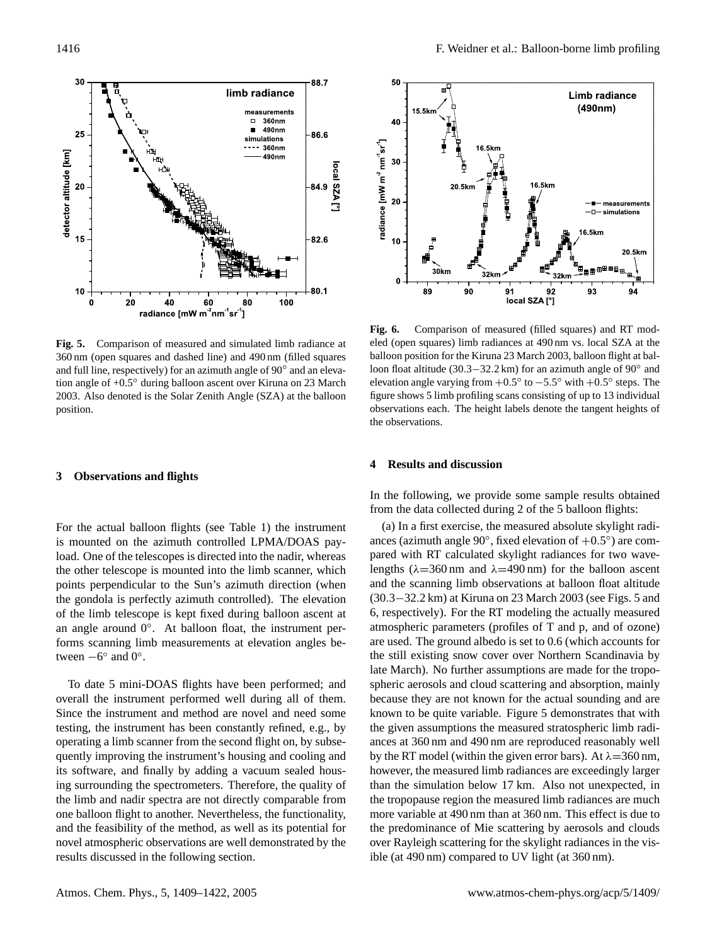

**Fig. 5.** Comparison of measured and simulated limb radiance at 360 nm (open squares and dashed line) and 490 nm (filled squares and full line, respectively) for an azimuth angle of 90° and an elevation angle of +0.5◦ during balloon ascent over Kiruna on 23 March 2003. Also denoted is the Solar Zenith Angle (SZA) at the balloon position.

## **3 Observations and flights**

For the actual balloon flights (see Table 1) the instrument is mounted on the azimuth controlled LPMA/DOAS payload. One of the telescopes is directed into the nadir, whereas the other telescope is mounted into the limb scanner, which points perpendicular to the Sun's azimuth direction (when the gondola is perfectly azimuth controlled). The elevation of the limb telescope is kept fixed during balloon ascent at an angle around  $0^\circ$ . At balloon float, the instrument performs scanning limb measurements at elevation angles between  $-6^{\circ}$  and  $0^{\circ}$ .

To date 5 mini-DOAS flights have been performed; and overall the instrument performed well during all of them. Since the instrument and method are novel and need some testing, the instrument has been constantly refined, e.g., by operating a limb scanner from the second flight on, by subsequently improving the instrument's housing and cooling and its software, and finally by adding a vacuum sealed housing surrounding the spectrometers. Therefore, the quality of the limb and nadir spectra are not directly comparable from one balloon flight to another. Nevertheless, the functionality, and the feasibility of the method, as well as its potential for novel atmospheric observations are well demonstrated by the results discussed in the following section.



**Fig. 6.** Comparison of measured (filled squares) and RT modeled (open squares) limb radiances at 490 nm vs. local SZA at the balloon position for the Kiruna 23 March 2003, balloon flight at balloon float altitude (30.3–32.2 km) for an azimuth angle of 90° and elevation angle varying from  $+0.5^{\circ}$  to  $-5.5^{\circ}$  with  $+0.5^{\circ}$  steps. The figure shows 5 limb profiling scans consisting of up to 13 individual observations each. The height labels denote the tangent heights of the observations.

## **4 Results and discussion**

In the following, we provide some sample results obtained from the data collected during 2 of the 5 balloon flights:

(a) In a first exercise, the measured absolute skylight radiances (azimuth angle 90 $^{\circ}$ , fixed elevation of +0.5 $^{\circ}$ ) are compared with RT calculated skylight radiances for two wavelengths ( $\lambda$ =360 nm and  $\lambda$ =490 nm) for the balloon ascent and the scanning limb observations at balloon float altitude (30.3−32.2 km) at Kiruna on 23 March 2003 (see Figs. 5 and 6, respectively). For the RT modeling the actually measured atmospheric parameters (profiles of T and p, and of ozone) are used. The ground albedo is set to 0.6 (which accounts for the still existing snow cover over Northern Scandinavia by late March). No further assumptions are made for the tropospheric aerosols and cloud scattering and absorption, mainly because they are not known for the actual sounding and are known to be quite variable. Figure 5 demonstrates that with the given assumptions the measured stratospheric limb radiances at 360 nm and 490 nm are reproduced reasonably well by the RT model (within the given error bars). At  $\lambda$ =360 nm, however, the measured limb radiances are exceedingly larger than the simulation below 17 km. Also not unexpected, in the tropopause region the measured limb radiances are much more variable at 490 nm than at 360 nm. This effect is due to the predominance of Mie scattering by aerosols and clouds over Rayleigh scattering for the skylight radiances in the visible (at 490 nm) compared to UV light (at 360 nm).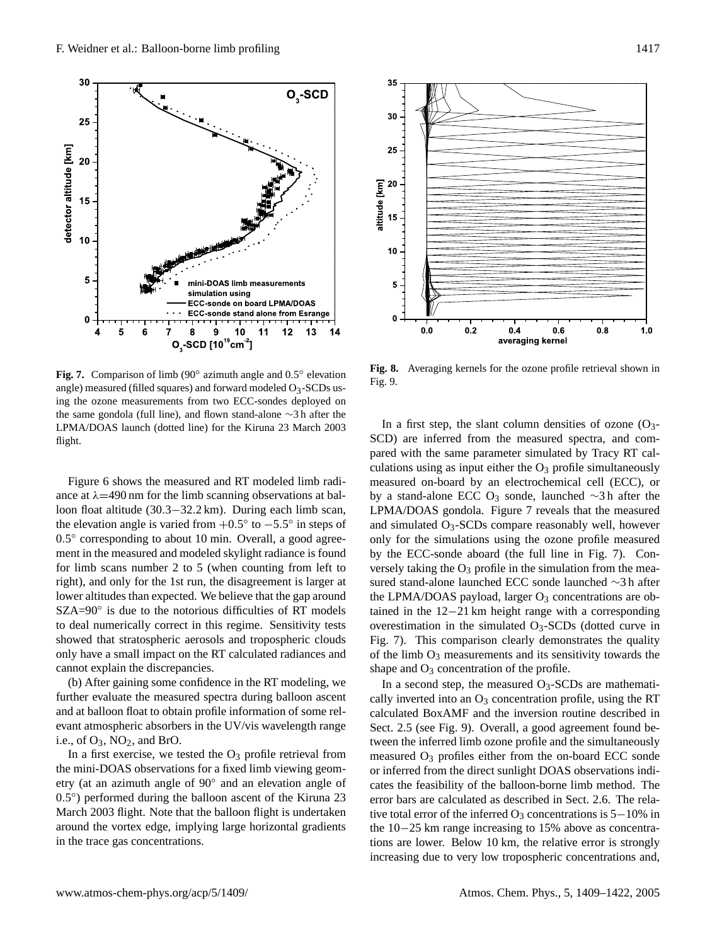

Fig. 7. Comparison of limb (90° azimuth angle and 0.5° elevation angle) measured (filled squares) and forward modeled O3-SCDs using the ozone measurements from two ECC-sondes deployed on the same gondola (full line), and flown stand-alone ∼3 h after the LPMA/DOAS launch (dotted line) for the Kiruna 23 March 2003 flight.

Figure 6 shows the measured and RT modeled limb radiance at  $\lambda$ =490 nm for the limb scanning observations at balloon float altitude (30.3−32.2 km). During each limb scan, the elevation angle is varied from  $+0.5^{\circ}$  to  $-5.5^{\circ}$  in steps of 0.5° corresponding to about 10 min. Overall, a good agreement in the measured and modeled skylight radiance is found for limb scans number 2 to 5 (when counting from left to right), and only for the 1st run, the disagreement is larger at lower altitudes than expected. We believe that the gap around SZA=90◦ is due to the notorious difficulties of RT models to deal numerically correct in this regime. Sensitivity tests showed that stratospheric aerosols and tropospheric clouds only have a small impact on the RT calculated radiances and cannot explain the discrepancies.

(b) After gaining some confidence in the RT modeling, we further evaluate the measured spectra during balloon ascent and at balloon float to obtain profile information of some relevant atmospheric absorbers in the UV/vis wavelength range i.e., of  $O_3$ ,  $NO_2$ , and BrO.

In a first exercise, we tested the  $O_3$  profile retrieval from the mini-DOAS observations for a fixed limb viewing geometry (at an azimuth angle of 90◦ and an elevation angle of 0.5°) performed during the balloon ascent of the Kiruna 23 March 2003 flight. Note that the balloon flight is undertaken around the vortex edge, implying large horizontal gradients in the trace gas concentrations.



**Fig. 8.** Averaging kernels for the ozone profile retrieval shown in Fig. 9.

In a first step, the slant column densities of ozone  $(O_3$ -SCD) are inferred from the measured spectra, and compared with the same parameter simulated by Tracy RT calculations using as input either the  $O_3$  profile simultaneously measured on-board by an electrochemical cell (ECC), or by a stand-alone ECC O<sup>3</sup> sonde, launched ∼3 h after the LPMA/DOAS gondola. Figure 7 reveals that the measured and simulated  $O_3$ -SCDs compare reasonably well, however only for the simulations using the ozone profile measured by the ECC-sonde aboard (the full line in Fig. 7). Conversely taking the  $O_3$  profile in the simulation from the measured stand-alone launched ECC sonde launched ∼3 h after the LPMA/DOAS payload, larger  $O_3$  concentrations are obtained in the 12−21 km height range with a corresponding overestimation in the simulated  $O_3$ -SCDs (dotted curve in Fig. 7). This comparison clearly demonstrates the quality of the limb  $O_3$  measurements and its sensitivity towards the shape and  $O_3$  concentration of the profile.

In a second step, the measured  $O_3$ -SCDs are mathematically inverted into an  $O_3$  concentration profile, using the RT calculated BoxAMF and the inversion routine described in Sect. 2.5 (see Fig. 9). Overall, a good agreement found between the inferred limb ozone profile and the simultaneously measured  $O_3$  profiles either from the on-board ECC sonde or inferred from the direct sunlight DOAS observations indicates the feasibility of the balloon-borne limb method. The error bars are calculated as described in Sect. 2.6. The relative total error of the inferred O<sub>3</sub> concentrations is  $5-10\%$  in the 10−25 km range increasing to 15% above as concentrations are lower. Below 10 km, the relative error is strongly increasing due to very low tropospheric concentrations and,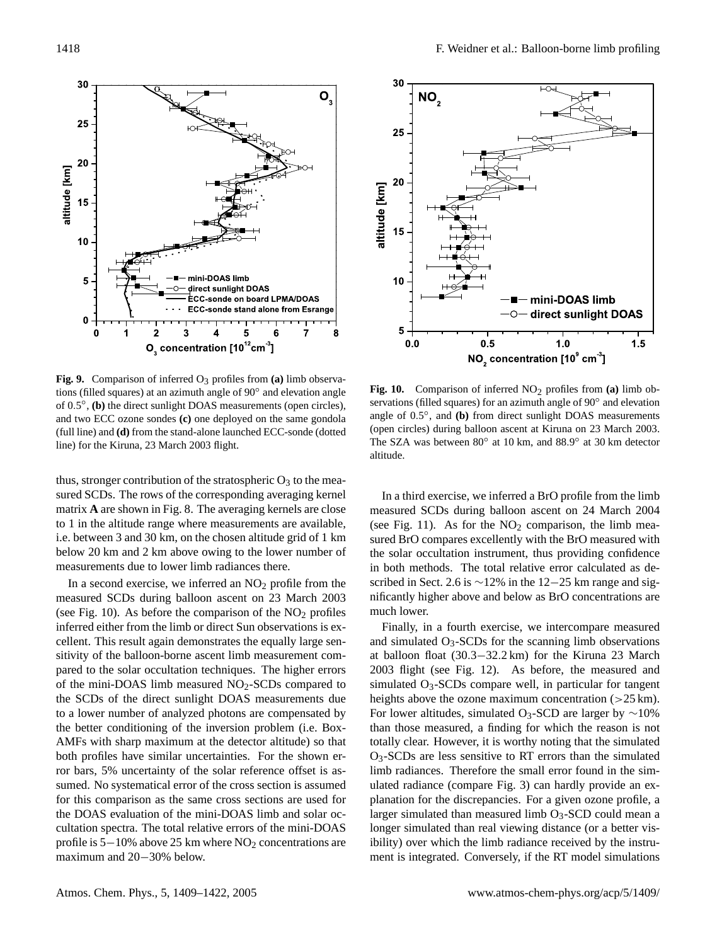

**Fig. 9.** Comparison of inferred  $O_3$  profiles from (a) limb observations (filled squares) at an azimuth angle of 90◦ and elevation angle of 0.5 ◦ , **(b)** the direct sunlight DOAS measurements (open circles), and two ECC ozone sondes **(c)** one deployed on the same gondola (full line) and **(d)** from the stand-alone launched ECC-sonde (dotted line) for the Kiruna, 23 March 2003 flight.

thus, stronger contribution of the stratospheric  $O_3$  to the measured SCDs. The rows of the corresponding averaging kernel matrix **A** are shown in Fig. 8. The averaging kernels are close to 1 in the altitude range where measurements are available, i.e. between 3 and 30 km, on the chosen altitude grid of 1 km below 20 km and 2 km above owing to the lower number of measurements due to lower limb radiances there.

In a second exercise, we inferred an  $NO<sub>2</sub>$  profile from the measured SCDs during balloon ascent on 23 March 2003 (see Fig. 10). As before the comparison of the  $NO<sub>2</sub>$  profiles inferred either from the limb or direct Sun observations is excellent. This result again demonstrates the equally large sensitivity of the balloon-borne ascent limb measurement compared to the solar occultation techniques. The higher errors of the mini-DOAS limb measured  $NO<sub>2</sub>$ -SCDs compared to the SCDs of the direct sunlight DOAS measurements due to a lower number of analyzed photons are compensated by the better conditioning of the inversion problem (i.e. Box-AMFs with sharp maximum at the detector altitude) so that both profiles have similar uncertainties. For the shown error bars, 5% uncertainty of the solar reference offset is assumed. No systematical error of the cross section is assumed for this comparison as the same cross sections are used for the DOAS evaluation of the mini-DOAS limb and solar occultation spectra. The total relative errors of the mini-DOAS profile is  $5-10\%$  above 25 km where NO<sub>2</sub> concentrations are maximum and 20−30% below.



**Fig. 10.** Comparison of inferred NO<sub>2</sub> profiles from (a) limb observations (filled squares) for an azimuth angle of 90° and elevation angle of 0.5°, and (b) from direct sunlight DOAS measurements (open circles) during balloon ascent at Kiruna on 23 March 2003. The SZA was between 80° at 10 km, and 88.9° at 30 km detector altitude.

In a third exercise, we inferred a BrO profile from the limb measured SCDs during balloon ascent on 24 March 2004 (see Fig. 11). As for the  $NO<sub>2</sub>$  comparison, the limb measured BrO compares excellently with the BrO measured with the solar occultation instrument, thus providing confidence in both methods. The total relative error calculated as described in Sect. 2.6 is ∼12% in the 12–25 km range and significantly higher above and below as BrO concentrations are much lower.

Finally, in a fourth exercise, we intercompare measured and simulated  $O_3$ -SCDs for the scanning limb observations at balloon float (30.3−32.2 km) for the Kiruna 23 March 2003 flight (see Fig. 12). As before, the measured and simulated O<sub>3</sub>-SCDs compare well, in particular for tangent heights above the ozone maximum concentration  $(>25 \text{ km})$ . For lower altitudes, simulated O<sub>3</sub>-SCD are larger by  $\sim$ 10% than those measured, a finding for which the reason is not totally clear. However, it is worthy noting that the simulated O3-SCDs are less sensitive to RT errors than the simulated limb radiances. Therefore the small error found in the simulated radiance (compare Fig. 3) can hardly provide an explanation for the discrepancies. For a given ozone profile, a larger simulated than measured limb  $O<sub>3</sub>$ -SCD could mean a longer simulated than real viewing distance (or a better visibility) over which the limb radiance received by the instrument is integrated. Conversely, if the RT model simulations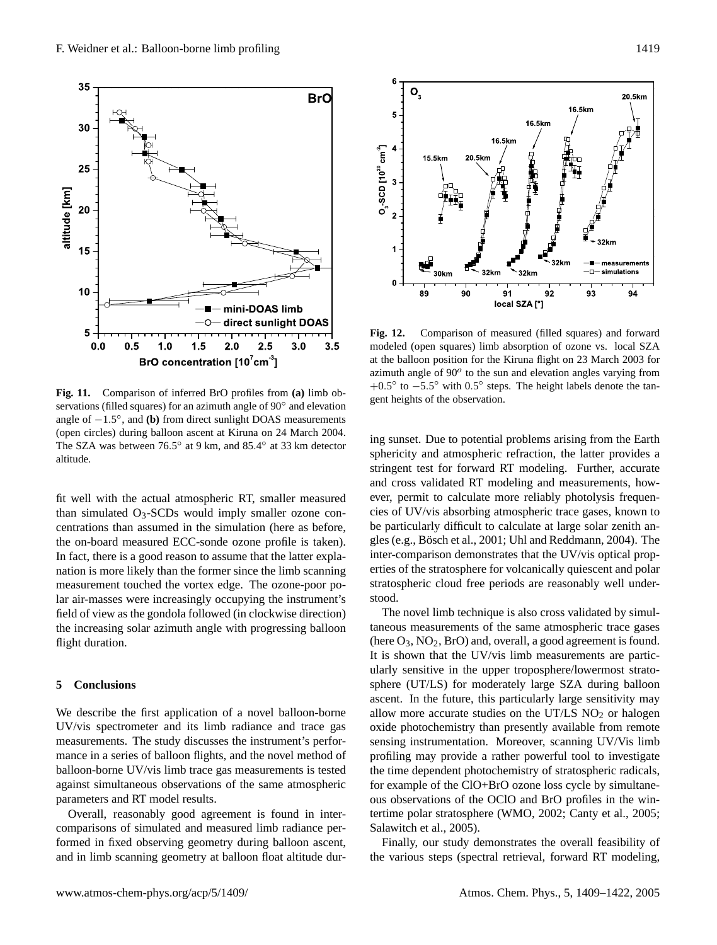



fit well with the actual atmospheric RT, smaller measured than simulated  $O_3$ -SCDs would imply smaller ozone concentrations than assumed in the simulation (here as before, the on-board measured ECC-sonde ozone profile is taken). In fact, there is a good reason to assume that the latter explanation is more likely than the former since the limb scanning measurement touched the vortex edge. The ozone-poor polar air-masses were increasingly occupying the instrument's field of view as the gondola followed (in clockwise direction) the increasing solar azimuth angle with progressing balloon flight duration.

# **5 Conclusions**

We describe the first application of a novel balloon-borne UV/vis spectrometer and its limb radiance and trace gas measurements. The study discusses the instrument's performance in a series of balloon flights, and the novel method of balloon-borne UV/vis limb trace gas measurements is tested against simultaneous observations of the same atmospheric parameters and RT model results.

Overall, reasonably good agreement is found in intercomparisons of simulated and measured limb radiance performed in fixed observing geometry during balloon ascent, and in limb scanning geometry at balloon float altitude dur-



**Fig. 12.** Comparison of measured (filled squares) and forward modeled (open squares) limb absorption of ozone vs. local SZA at the balloon position for the Kiruna flight on 23 March 2003 for azimuth angle of  $90^o$  to the sun and elevation angles varying from  $+0.5^{\circ}$  to  $-5.5^{\circ}$  with  $0.5^{\circ}$  steps. The height labels denote the tangent heights of the observation.

ing sunset. Due to potential problems arising from the Earth sphericity and atmospheric refraction, the latter provides a stringent test for forward RT modeling. Further, accurate and cross validated RT modeling and measurements, however, permit to calculate more reliably photolysis frequencies of UV/vis absorbing atmospheric trace gases, known to be particularly difficult to calculate at large solar zenith angles (e.g., Bösch et al., 2001; Uhl and Reddmann, 2004). The inter-comparison demonstrates that the UV/vis optical properties of the stratosphere for volcanically quiescent and polar stratospheric cloud free periods are reasonably well understood.

The novel limb technique is also cross validated by simultaneous measurements of the same atmospheric trace gases (here  $O_3$ ,  $NO_2$ ,  $BrO$ ) and, overall, a good agreement is found. It is shown that the UV/vis limb measurements are particularly sensitive in the upper troposphere/lowermost stratosphere (UT/LS) for moderately large SZA during balloon ascent. In the future, this particularly large sensitivity may allow more accurate studies on the UT/LS  $NO<sub>2</sub>$  or halogen oxide photochemistry than presently available from remote sensing instrumentation. Moreover, scanning UV/Vis limb profiling may provide a rather powerful tool to investigate the time dependent photochemistry of stratospheric radicals, for example of the ClO+BrO ozone loss cycle by simultaneous observations of the OClO and BrO profiles in the wintertime polar stratosphere (WMO, 2002; Canty et al., 2005; Salawitch et al., 2005).

Finally, our study demonstrates the overall feasibility of the various steps (spectral retrieval, forward RT modeling,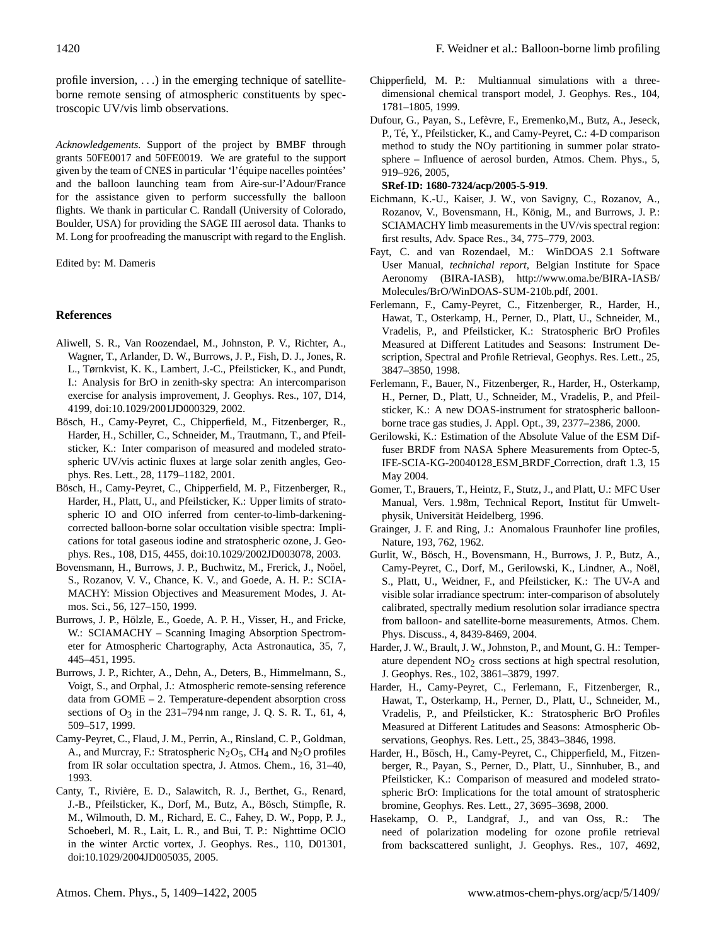profile inversion, . . .) in the emerging technique of satelliteborne remote sensing of atmospheric constituents by spectroscopic UV/vis limb observations.

*Acknowledgements.* Support of the project by BMBF through grants 50FE0017 and 50FE0019. We are grateful to the support given by the team of CNES in particular 'l'équipe nacelles pointées' and the balloon launching team from Aire-sur-l'Adour/France for the assistance given to perform successfully the balloon flights. We thank in particular C. Randall (University of Colorado, Boulder, USA) for providing the SAGE III aerosol data. Thanks to M. Long for proofreading the manuscript with regard to the English.

Edited by: M. Dameris

# **References**

- Aliwell, S. R., Van Roozendael, M., Johnston, P. V., Richter, A., Wagner, T., Arlander, D. W., Burrows, J. P., Fish, D. J., Jones, R. L., Tørnkvist, K. K., Lambert, J.-C., Pfeilsticker, K., and Pundt, I.: Analysis for BrO in zenith-sky spectra: An intercomparison exercise for analysis improvement, J. Geophys. Res., 107, D14, 4199, doi:10.1029/2001JD000329, 2002.
- Bösch, H., Camy-Peyret, C., Chipperfield, M., Fitzenberger, R., Harder, H., Schiller, C., Schneider, M., Trautmann, T., and Pfeilsticker, K.: Inter comparison of measured and modeled stratospheric UV/vis actinic fluxes at large solar zenith angles, Geophys. Res. Lett., 28, 1179–1182, 2001.
- Bösch, H., Camy-Peyret, C., Chipperfield, M. P., Fitzenberger, R., Harder, H., Platt, U., and Pfeilsticker, K.: Upper limits of stratospheric IO and OIO inferred from center-to-limb-darkeningcorrected balloon-borne solar occultation visible spectra: Implications for total gaseous iodine and stratospheric ozone, J. Geophys. Res., 108, D15, 4455, doi:10.1029/2002JD003078, 2003.
- Bovensmann, H., Burrows, J. P., Buchwitz, M., Frerick, J., Noöel, S., Rozanov, V. V., Chance, K. V., and Goede, A. H. P.: SCIA-MACHY: Mission Objectives and Measurement Modes, J. Atmos. Sci., 56, 127–150, 1999.
- Burrows, J. P., Hölzle, E., Goede, A. P. H., Visser, H., and Fricke, W.: SCIAMACHY - Scanning Imaging Absorption Spectrometer for Atmospheric Chartography, Acta Astronautica, 35, 7, 445–451, 1995.
- Burrows, J. P., Richter, A., Dehn, A., Deters, B., Himmelmann, S., Voigt, S., and Orphal, J.: Atmospheric remote-sensing reference data from GOME – 2. Temperature-dependent absorption cross sections of  $O_3$  in the 231–794 nm range, J. Q. S. R. T., 61, 4, 509–517, 1999.
- Camy-Peyret, C., Flaud, J. M., Perrin, A., Rinsland, C. P., Goldman, A., and Murcray, F.: Stratospheric  $N_2O_5$ , CH<sub>4</sub> and  $N_2O$  profiles from IR solar occultation spectra, J. Atmos. Chem., 16, 31–40, 1993.
- Canty, T., Rivière, E. D., Salawitch, R. J., Berthet, G., Renard, J.-B., Pfeilsticker, K., Dorf, M., Butz, A., Bösch, Stimpfle, R. M., Wilmouth, D. M., Richard, E. C., Fahey, D. W., Popp, P. J., Schoeberl, M. R., Lait, L. R., and Bui, T. P.: Nighttime OClO in the winter Arctic vortex, J. Geophys. Res., 110, D01301, doi:10.1029/2004JD005035, 2005.
- Chipperfield, M. P.: Multiannual simulations with a threedimensional chemical transport model, J. Geophys. Res., 104, 1781–1805, 1999.
- Dufour, G., Payan, S., Lefèvre, F., Eremenko, M., Butz, A., Jeseck, P., Té, Y., Pfeilsticker, K., and Camy-Peyret, C.: 4-D comparison method to study the NOy partitioning in summer polar stratosphere – Influence of aerosol burden, Atmos. Chem. Phys., 5, 919–926, 2005,

### **[SRef-ID: 1680-7324/acp/2005-5-919](http://direct.sref.org/1680-7324/acp/2005-5-919)**.

- Eichmann, K.-U., Kaiser, J. W., von Savigny, C., Rozanov, A., Rozanov, V., Bovensmann, H., König, M., and Burrows, J. P.: SCIAMACHY limb measurements in the UV/vis spectral region: first results, Adv. Space Res., 34, 775–779, 2003.
- Fayt, C. and van Rozendael, M.: WinDOAS 2.1 Software User Manual, *technichal report*, Belgian Institute for Space Aeronomy (BIRA-IASB), [http://www.oma.be/BIRA-IASB/](http://www.oma.be/BIRA-IASB/Molecules/BrO/WinDOAS-SUM-210b.pdf) [Molecules/BrO/WinDOAS-SUM-210b.pdf,](http://www.oma.be/BIRA-IASB/Molecules/BrO/WinDOAS-SUM-210b.pdf) 2001.
- Ferlemann, F., Camy-Peyret, C., Fitzenberger, R., Harder, H., Hawat, T., Osterkamp, H., Perner, D., Platt, U., Schneider, M., Vradelis, P., and Pfeilsticker, K.: Stratospheric BrO Profiles Measured at Different Latitudes and Seasons: Instrument Description, Spectral and Profile Retrieval, Geophys. Res. Lett., 25, 3847–3850, 1998.
- Ferlemann, F., Bauer, N., Fitzenberger, R., Harder, H., Osterkamp, H., Perner, D., Platt, U., Schneider, M., Vradelis, P., and Pfeilsticker, K.: A new DOAS-instrument for stratospheric balloonborne trace gas studies, J. Appl. Opt., 39, 2377–2386, 2000.
- Gerilowski, K.: Estimation of the Absolute Value of the ESM Diffuser BRDF from NASA Sphere Measurements from Optec-5, IFE-SCIA-KG-20040128 ESM BRDF Correction, draft 1.3, 15 May 2004.
- Gomer, T., Brauers, T., Heintz, F., Stutz, J., and Platt, U.: MFC User Manual, Vers. 1.98m, Technical Report, Institut für Umweltphysik, Universität Heidelberg, 1996.
- Grainger, J. F. and Ring, J.: Anomalous Fraunhofer line profiles, Nature, 193, 762, 1962.
- Gurlit, W., Bosch, H., Bovensmann, H., Burrows, J. P., Butz, A., ¨ Camy-Peyret, C., Dorf, M., Gerilowski, K., Lindner, A., Noël, S., Platt, U., Weidner, F., and Pfeilsticker, K.: The UV-A and visible solar irradiance spectrum: inter-comparison of absolutely calibrated, spectrally medium resolution solar irradiance spectra from balloon- and satellite-borne measurements, Atmos. Chem. Phys. Discuss., 4, 8439-8469, 2004.
- Harder, J. W., Brault, J. W., Johnston, P., and Mount, G. H.: Temperature dependent  $NO<sub>2</sub>$  cross sections at high spectral resolution, J. Geophys. Res., 102, 3861–3879, 1997.
- Harder, H., Camy-Peyret, C., Ferlemann, F., Fitzenberger, R., Hawat, T., Osterkamp, H., Perner, D., Platt, U., Schneider, M., Vradelis, P., and Pfeilsticker, K.: Stratospheric BrO Profiles Measured at Different Latitudes and Seasons: Atmospheric Observations, Geophys. Res. Lett., 25, 3843–3846, 1998.
- Harder, H., Bösch, H., Camy-Peyret, C., Chipperfield, M., Fitzenberger, R., Payan, S., Perner, D., Platt, U., Sinnhuber, B., and Pfeilsticker, K.: Comparison of measured and modeled stratospheric BrO: Implications for the total amount of stratospheric bromine, Geophys. Res. Lett., 27, 3695–3698, 2000.
- Hasekamp, O. P., Landgraf, J., and van Oss, R.: The need of polarization modeling for ozone profile retrieval from backscattered sunlight, J. Geophys. Res., 107, 4692,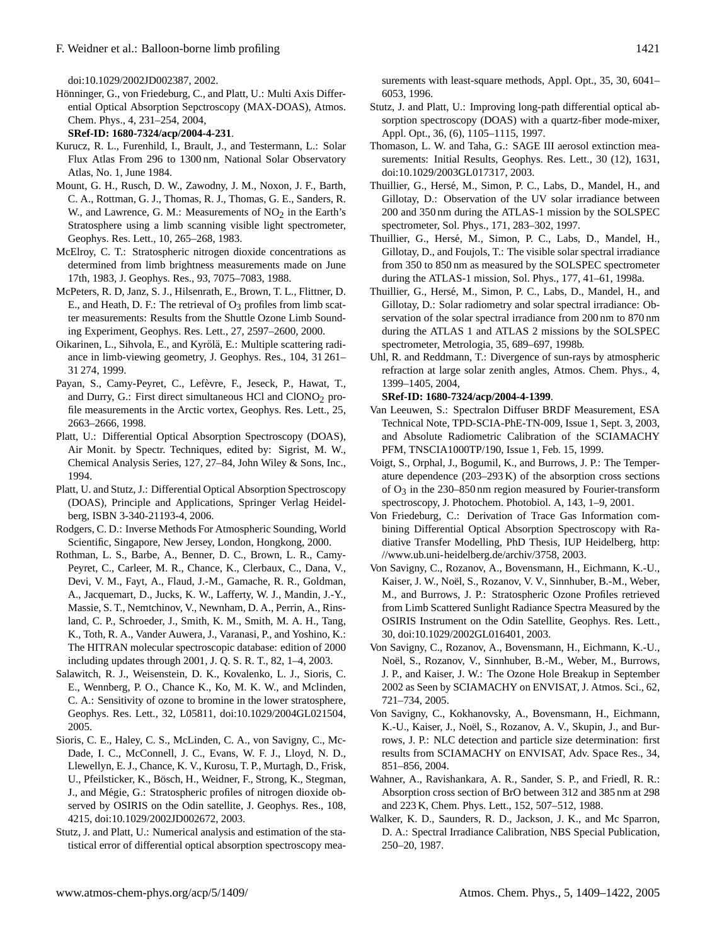doi:10.1029/2002JD002387, 2002.

Hönninger, G., von Friedeburg, C., and Platt, U.: Multi Axis Differential Optical Absorption Sepctroscopy (MAX-DOAS), Atmos. Chem. Phys., 4, 231–254, 2004,

**[SRef-ID: 1680-7324/acp/2004-4-231](http://direct.sref.org/1680-7324/acp/2004-4-231)**.

- Kurucz, R. L., Furenhild, I., Brault, J., and Testermann, L.: Solar Flux Atlas From 296 to 1300 nm, National Solar Observatory Atlas, No. 1, June 1984.
- Mount, G. H., Rusch, D. W., Zawodny, J. M., Noxon, J. F., Barth, C. A., Rottman, G. J., Thomas, R. J., Thomas, G. E., Sanders, R. W., and Lawrence, G. M.: Measurements of  $NO<sub>2</sub>$  in the Earth's Stratosphere using a limb scanning visible light spectrometer, Geophys. Res. Lett., 10, 265–268, 1983.
- McElroy, C. T.: Stratospheric nitrogen dioxide concentrations as determined from limb brightness measurements made on June 17th, 1983, J. Geophys. Res., 93, 7075–7083, 1988.
- McPeters, R. D, Janz, S. J., Hilsenrath, E., Brown, T. L., Flittner, D. E., and Heath, D. F.: The retrieval of  $O_3$  profiles from limb scatter measurements: Results from the Shuttle Ozone Limb Sounding Experiment, Geophys. Res. Lett., 27, 2597–2600, 2000.
- Oikarinen, L., Sihvola, E., and Kyrölä, E.: Multiple scattering radiance in limb-viewing geometry, J. Geophys. Res., 104, 31 261– 31 274, 1999.
- Payan, S., Camy-Peyret, C., Lefèvre, F., Jeseck, P., Hawat, T., and Durry, G.: First direct simultaneous HCl and  $ClONO<sub>2</sub>$  profile measurements in the Arctic vortex, Geophys. Res. Lett., 25, 2663–2666, 1998.
- Platt, U.: Differential Optical Absorption Spectroscopy (DOAS), Air Monit. by Spectr. Techniques, edited by: Sigrist, M. W., Chemical Analysis Series, 127, 27–84, John Wiley & Sons, Inc., 1994.
- Platt, U. and Stutz, J.: Differential Optical Absorption Spectroscopy (DOAS), Principle and Applications, Springer Verlag Heidelberg, ISBN 3-340-21193-4, 2006.
- Rodgers, C. D.: Inverse Methods For Atmospheric Sounding, World Scientific, Singapore, New Jersey, London, Hongkong, 2000.
- Rothman, L. S., Barbe, A., Benner, D. C., Brown, L. R., Camy-Peyret, C., Carleer, M. R., Chance, K., Clerbaux, C., Dana, V., Devi, V. M., Fayt, A., Flaud, J.-M., Gamache, R. R., Goldman, A., Jacquemart, D., Jucks, K. W., Lafferty, W. J., Mandin, J.-Y., Massie, S. T., Nemtchinov, V., Newnham, D. A., Perrin, A., Rinsland, C. P., Schroeder, J., Smith, K. M., Smith, M. A. H., Tang, K., Toth, R. A., Vander Auwera, J., Varanasi, P., and Yoshino, K.: The HITRAN molecular spectroscopic database: edition of 2000 including updates through 2001, J. Q. S. R. T., 82, 1–4, 2003.
- Salawitch, R. J., Weisenstein, D. K., Kovalenko, L. J., Sioris, C. E., Wennberg, P. O., Chance K., Ko, M. K. W., and Mclinden, C. A.: Sensitivity of ozone to bromine in the lower stratosphere, Geophys. Res. Lett., 32, L05811, doi:10.1029/2004GL021504, 2005.
- Sioris, C. E., Haley, C. S., McLinden, C. A., von Savigny, C., Mc-Dade, I. C., McConnell, J. C., Evans, W. F. J., Lloyd, N. D., Llewellyn, E. J., Chance, K. V., Kurosu, T. P., Murtagh, D., Frisk, U., Pfeilsticker, K., Bösch, H., Weidner, F., Strong, K., Stegman, J., and Mégie, G.: Stratospheric profiles of nitrogen dioxide observed by OSIRIS on the Odin satellite, J. Geophys. Res., 108, 4215, doi:10.1029/2002JD002672, 2003.
- Stutz, J. and Platt, U.: Numerical analysis and estimation of the statistical error of differential optical absorption spectroscopy mea-

surements with least-square methods, Appl. Opt., 35, 30, 6041– 6053, 1996.

- Stutz, J. and Platt, U.: Improving long-path differential optical absorption spectroscopy (DOAS) with a quartz-fiber mode-mixer, Appl. Opt., 36, (6), 1105–1115, 1997.
- Thomason, L. W. and Taha, G.: SAGE III aerosol extinction measurements: Initial Results, Geophys. Res. Lett., 30 (12), 1631, doi:10.1029/2003GL017317, 2003.
- Thuillier, G., Hersé, M., Simon, P. C., Labs, D., Mandel, H., and Gillotay, D.: Observation of the UV solar irradiance between 200 and 350 nm during the ATLAS-1 mission by the SOLSPEC spectrometer, Sol. Phys., 171, 283–302, 1997.
- Thuillier, G., Hersé, M., Simon, P. C., Labs, D., Mandel, H., Gillotay, D., and Foujols, T.: The visible solar spectral irradiance from 350 to 850 nm as measured by the SOLSPEC spectrometer during the ATLAS-1 mission, Sol. Phys., 177, 41–61, 1998a.
- Thuillier, G., Hersé, M., Simon, P. C., Labs, D., Mandel, H., and Gillotay, D.: Solar radiometry and solar spectral irradiance: Observation of the solar spectral irradiance from 200 nm to 870 nm during the ATLAS 1 and ATLAS 2 missions by the SOLSPEC spectrometer, Metrologia, 35, 689–697, 1998b.
- Uhl, R. and Reddmann, T.: Divergence of sun-rays by atmospheric refraction at large solar zenith angles, Atmos. Chem. Phys., 4, 1399–1405, 2004,

#### **[SRef-ID: 1680-7324/acp/2004-4-1399](http://direct.sref.org/1680-7324/acp/2004-4-1399)**.

- Van Leeuwen, S.: Spectralon Diffuser BRDF Measurement, ESA Technical Note, TPD-SCIA-PhE-TN-009, Issue 1, Sept. 3, 2003, and Absolute Radiometric Calibration of the SCIAMACHY PFM, TNSCIA1000TP/190, Issue 1, Feb. 15, 1999.
- Voigt, S., Orphal, J., Bogumil, K., and Burrows, J. P.: The Temperature dependence (203–293 K) of the absorption cross sections of  $O_3$  in the 230–850 nm region measured by Fourier-transform spectroscopy, J. Photochem. Photobiol. A, 143, 1–9, 2001.
- Von Friedeburg, C.: Derivation of Trace Gas Information combining Differential Optical Absorption Spectroscopy with Radiative Transfer Modelling, PhD Thesis, IUP Heidelberg, [http:](http://www.ub.uni-heidelberg.de/archiv/3758) [//www.ub.uni-heidelberg.de/archiv/3758,](http://www.ub.uni-heidelberg.de/archiv/3758) 2003.
- Von Savigny, C., Rozanov, A., Bovensmann, H., Eichmann, K.-U., Kaiser, J. W., Noël, S., Rozanov, V. V., Sinnhuber, B.-M., Weber, M., and Burrows, J. P.: Stratospheric Ozone Profiles retrieved from Limb Scattered Sunlight Radiance Spectra Measured by the OSIRIS Instrument on the Odin Satellite, Geophys. Res. Lett., 30, doi:10.1029/2002GL016401, 2003.
- Von Savigny, C., Rozanov, A., Bovensmann, H., Eichmann, K.-U., Noël, S., Rozanov, V., Sinnhuber, B.-M., Weber, M., Burrows, J. P., and Kaiser, J. W.: The Ozone Hole Breakup in September 2002 as Seen by SCIAMACHY on ENVISAT, J. Atmos. Sci., 62, 721–734, 2005.
- Von Savigny, C., Kokhanovsky, A., Bovensmann, H., Eichmann, K.-U., Kaiser, J., Noël, S., Rozanov, A. V., Skupin, J., and Burrows, J. P.: NLC detection and particle size determination: first results from SCIAMACHY on ENVISAT, Adv. Space Res., 34, 851–856, 2004.
- Wahner, A., Ravishankara, A. R., Sander, S. P., and Friedl, R. R.: Absorption cross section of BrO between 312 and 385 nm at 298 and 223 K, Chem. Phys. Lett., 152, 507–512, 1988.
- Walker, K. D., Saunders, R. D., Jackson, J. K., and Mc Sparron, D. A.: Spectral Irradiance Calibration, NBS Special Publication, 250–20, 1987.